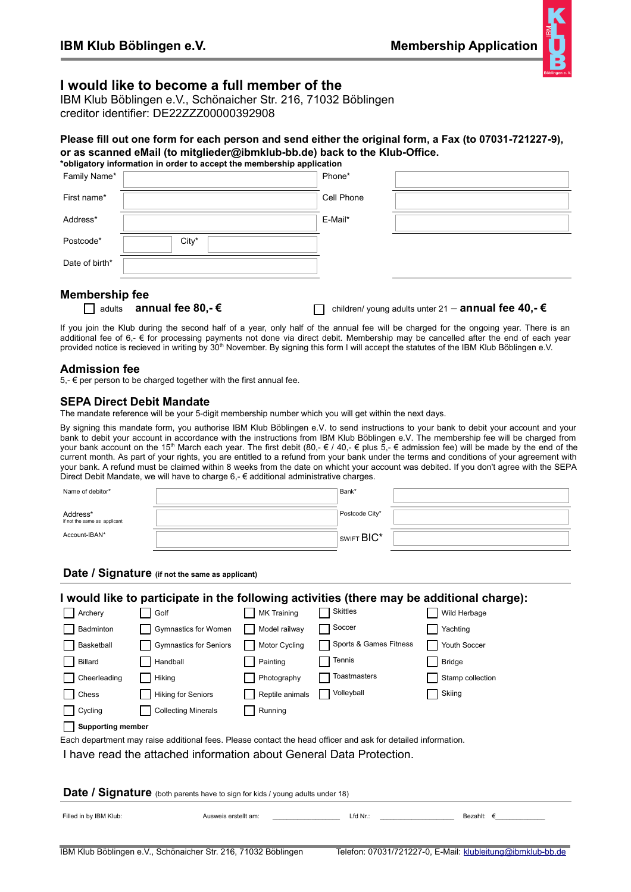

# **I would like to become a full member of the**

IBM Klub Böblingen e.V., Schönaicher Str. 216, 71032 Böblingen creditor identifier: DE22ZZZ00000392908

#### Please fill out one form for each person and send either the original form, a Fax (to 07031-721227-9), **or as scanned eMail (to mitglieder@ibmklub-bb.de) back to the Klub-Office. \*obligatory information in order to accept the membership application**

| Family Name*   |       | Phone*     |  |
|----------------|-------|------------|--|
| First name*    |       | Cell Phone |  |
| Address*       |       | E-Mail*    |  |
| Postcode*      | City* |            |  |
| Date of birth* |       |            |  |
|                |       |            |  |

#### **Membership fee**

| adults | annual fee 80,- € |
|--------|-------------------|
|--------|-------------------|

adults **annual fee 80,- €** children/ young adults unter 21 – **annual fee 40,- €**

If you join the Klub during the second half of a year, only half of the annual fee will be charged for the ongoing year. There is an additional fee of 6,- € for processing payments not done via direct debit. Membership may be cancelled after the end of each year provided notice is recieved in writing by 30<sup>th</sup> November. By signing this form I will accept the statutes of the IBM Klub Böblingen e.V.

#### **Admission fee**

5, $-$  € per person to be charged together with the first annual fee.

### **SEPA Direct Debit Mandate**

The mandate reference will be your 5-digit membership number which you will get within the next days.

By signing this mandate form, you authorise IBM Klub Böblingen e.V. to send instructions to your bank to debit your account and your bank to debit your account in accordance with the instructions from IBM Klub Böblingen e.V. The membership fee will be charged from your bank account on the 15<sup>th</sup> March each year. The first debit (80,-  $\epsilon$  / 40,-  $\epsilon$  plus  $\bar{5}$ ,-  $\epsilon$  admission fee) will be made by the end of the current month. As part of your rights, you are entitled to a refund from your bank under the terms and conditions of your agreement with your bank. A refund must be claimed within 8 weeks from the date on whicht your account was debited. If you don't agree with the SEPA Direct Debit Mandate, we will have to charge  $6, -6$  additional administrative charges.

| Name of debitor*                         | Bank*                  |  |
|------------------------------------------|------------------------|--|
| Address*<br>if not the same as applicant | Postcode City*         |  |
| Account-IBAN*                            | SWIFT BIC <sup>*</sup> |  |

**Date / Signature (if not the same as applicant)**

| I would like to participate in the following activities (there may be additional charge):                    |                               |                    |                        |                  |  |  |  |  |
|--------------------------------------------------------------------------------------------------------------|-------------------------------|--------------------|------------------------|------------------|--|--|--|--|
| Archery                                                                                                      | Golf                          | <b>MK Training</b> | Skittles               | Wild Herbage     |  |  |  |  |
| Badminton                                                                                                    | Gymnastics for Women          | Model railway      | Soccer                 | Yachting         |  |  |  |  |
| Basketball                                                                                                   | <b>Gymnastics for Seniors</b> | Motor Cycling      | Sports & Games Fitness | Youth Soccer     |  |  |  |  |
| Billard                                                                                                      | Handball                      | Painting           | Tennis                 | <b>Bridge</b>    |  |  |  |  |
| Cheerleading                                                                                                 | Hiking                        | Photography        | Toastmasters           | Stamp collection |  |  |  |  |
| Chess                                                                                                        | <b>Hiking for Seniors</b>     | Reptile animals    | Volleyball             | Skiing           |  |  |  |  |
| Cycling                                                                                                      | <b>Collecting Minerals</b>    | Running            |                        |                  |  |  |  |  |
| <b>Supporting member</b>                                                                                     |                               |                    |                        |                  |  |  |  |  |
| Each department may raise additional fees. Please contact the head officer and ask for detailed information. |                               |                    |                        |                  |  |  |  |  |
| I have read the attached information about General Data Protection.                                          |                               |                    |                        |                  |  |  |  |  |
|                                                                                                              |                               |                    |                        |                  |  |  |  |  |
| Date / Signature (both parents have to sign for kids / young adults under 18)                                |                               |                    |                        |                  |  |  |  |  |
| Filled in by IBM Klub:                                                                                       | Ausweis erstellt am:          |                    | $Lfd$ Nr.:             | Bezahlt: $\in$   |  |  |  |  |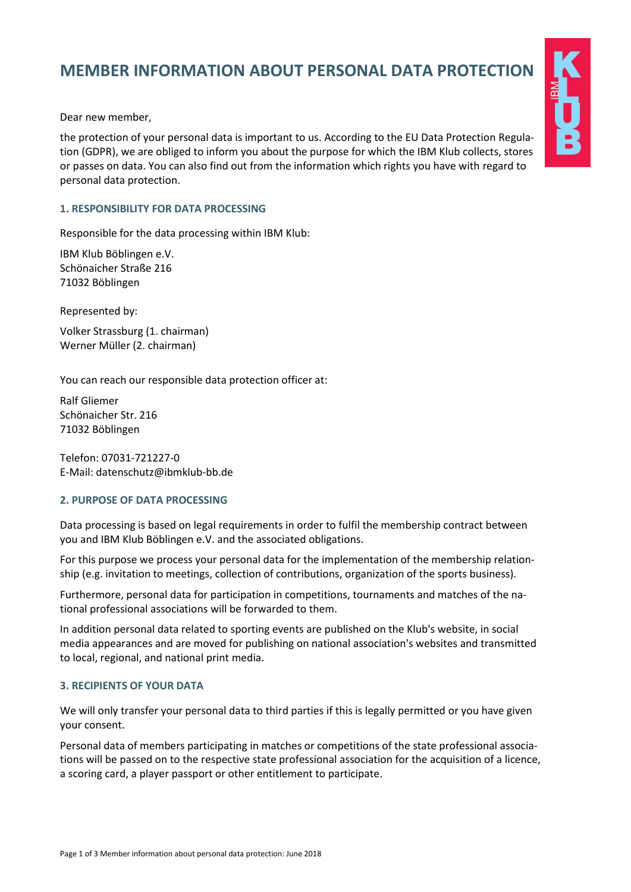# **MEMBER INFORMATION ABOUT PERSONAL DATA PROTECTION**

Dear new member,

the protection of your personal data is important to us. According to the EU Data Protection Regulation (GDPR), we are obliged to inform you about the purpose for which the IBM Klub collects, stores or passes on data. You can also find out from the information which rights you have with regard to personal data protection.

#### **1. RESPONSIBILITY FOR DATA PROCESSING**

Responsible for the data processing within IBM Klub:

IBM Klub Böblingen e.V. Schönaicher Straße 216 71032 Böblingen

Represented by:

Volker Strassburg (1. chairman) Werner Müller (2. chairman)

You can reach our responsible data protection officer at:

Ralf Gliemer Schönaicher Str. 216 71032 Böblingen

Telefon: 07031-721227-0 E-Mail: datenschutz@ibmklub-bb.de

#### **2. PURPOSE OF DATA PROCESSING**

Data processing is based on legal requirements in order to fulfil the membership contract between you and IBM Klub Böblingen e.V. and the associated obligations.

For this purpose we process your personal data for the implementation of the membership relationship (e.g. invitation to meetings, collection of contributions, organization of the sports business).

Furthermore, personal data for participation in competitions, tournaments and matches of the national professional associations will be forwarded to them.

In addition personal data related to sporting events are published on the Klub's website, in social media appearances and are moved for publishing on national association's websites and transmitted to local, regional, and national print media.

#### **3. RECIPIENTS OF YOUR DATA**

We will only transfer your personal data to third parties if this is legally permitted or you have given your consent.

Personal data of members participating in matches or competitions of the state professional associations will be passed on to the respective state professional association for the acquisition of a licence, a scoring card, a player passport or other entitlement to participate.

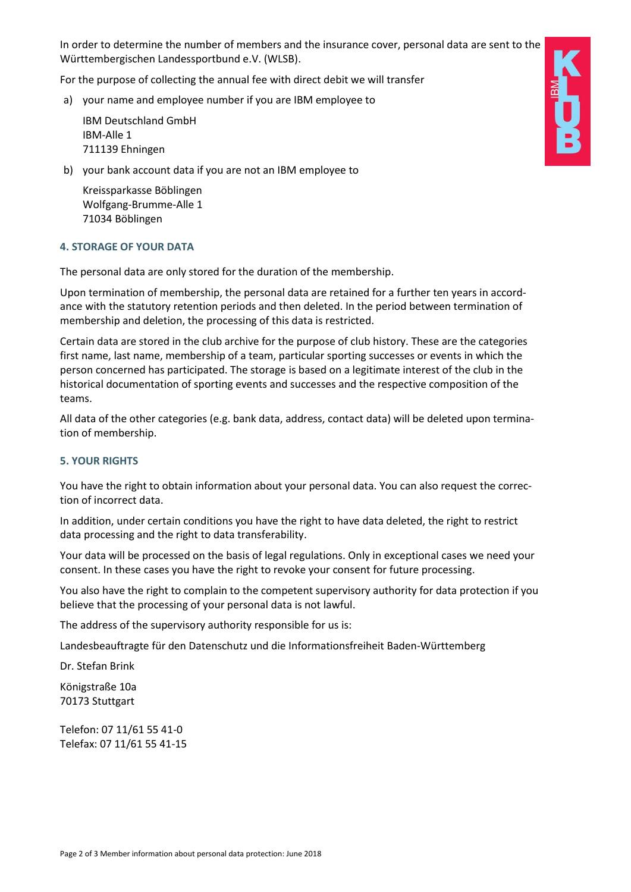In order to determine the number of members and the insurance cover, personal data are sent to the Württembergischen Landessportbund e.V. (WLSB).

For the purpose of collecting the annual fee with direct debit we will transfer

a) your name and employee number if you are IBM employee to

IBM Deutschland GmbH IBM-Alle 1 711139 Ehningen

b) your bank account data if you are not an IBM employee to

Kreissparkasse Böblingen Wolfgang-Brumme-Alle 1 71034 Böblingen

#### **4. STORAGE OF YOUR DATA**

The personal data are only stored for the duration of the membership.

Upon termination of membership, the personal data are retained for a further ten years in accordance with the statutory retention periods and then deleted. In the period between termination of membership and deletion, the processing of this data is restricted.

Certain data are stored in the club archive for the purpose of club history. These are the categories first name, last name, membership of a team, particular sporting successes or events in which the person concerned has participated. The storage is based on a legitimate interest of the club in the historical documentation of sporting events and successes and the respective composition of the teams.

All data of the other categories (e.g. bank data, address, contact data) will be deleted upon termination of membership.

## **5. YOUR RIGHTS**

You have the right to obtain information about your personal data. You can also request the correction of incorrect data.

In addition, under certain conditions you have the right to have data deleted, the right to restrict data processing and the right to data transferability.

Your data will be processed on the basis of legal regulations. Only in exceptional cases we need your consent. In these cases you have the right to revoke your consent for future processing.

You also have the right to complain to the competent supervisory authority for data protection if you believe that the processing of your personal data is not lawful.

The address of the supervisory authority responsible for us is:

Landesbeauftragte für den Datenschutz und die Informationsfreiheit Baden-Württemberg

Dr. Stefan Brink

Königstraße 10a 70173 Stuttgart

Telefon: 07 11/61 55 41-0 Telefax: 07 11/61 55 41-15